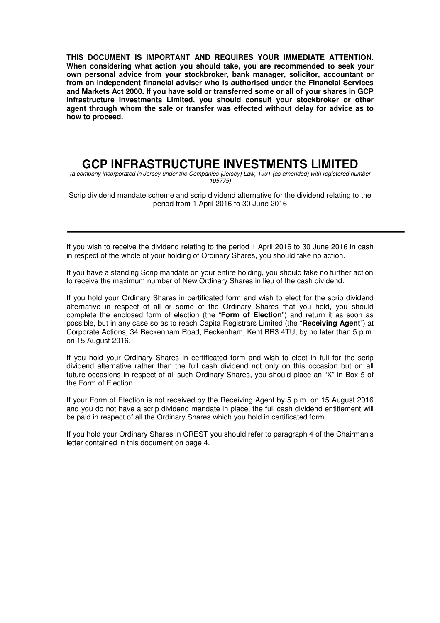**THIS DOCUMENT IS IMPORTANT AND REQUIRES YOUR IMMEDIATE ATTENTION. When considering what action you should take, you are recommended to seek your own personal advice from your stockbroker, bank manager, solicitor, accountant or from an independent financial adviser who is authorised under the Financial Services and Markets Act 2000. If you have sold or transferred some or all of your shares in GCP Infrastructure Investments Limited, you should consult your stockbroker or other agent through whom the sale or transfer was effected without delay for advice as to how to proceed.** 

# **GCP INFRASTRUCTURE INVESTMENTS LIMITED**

(a company incorporated in Jersey under the Companies (Jersey) Law, 1991 (as amended) with registered number 105775)

Scrip dividend mandate scheme and scrip dividend alternative for the dividend relating to the period from 1 April 2016 to 30 June 2016

If you wish to receive the dividend relating to the period 1 April 2016 to 30 June 2016 in cash in respect of the whole of your holding of Ordinary Shares, you should take no action.

If you have a standing Scrip mandate on your entire holding, you should take no further action to receive the maximum number of New Ordinary Shares in lieu of the cash dividend.

If you hold your Ordinary Shares in certificated form and wish to elect for the scrip dividend alternative in respect of all or some of the Ordinary Shares that you hold, you should complete the enclosed form of election (the "**Form of Election**") and return it as soon as possible, but in any case so as to reach Capita Registrars Limited (the "**Receiving Agent**") at Corporate Actions, 34 Beckenham Road, Beckenham, Kent BR3 4TU, by no later than 5 p.m. on 15 August 2016.

If you hold your Ordinary Shares in certificated form and wish to elect in full for the scrip dividend alternative rather than the full cash dividend not only on this occasion but on all future occasions in respect of all such Ordinary Shares, you should place an "X" in Box 5 of the Form of Election.

If your Form of Election is not received by the Receiving Agent by 5 p.m. on 15 August 2016 and you do not have a scrip dividend mandate in place, the full cash dividend entitlement will be paid in respect of all the Ordinary Shares which you hold in certificated form.

If you hold your Ordinary Shares in CREST you should refer to paragraph 4 of the Chairman's letter contained in this document on page 4.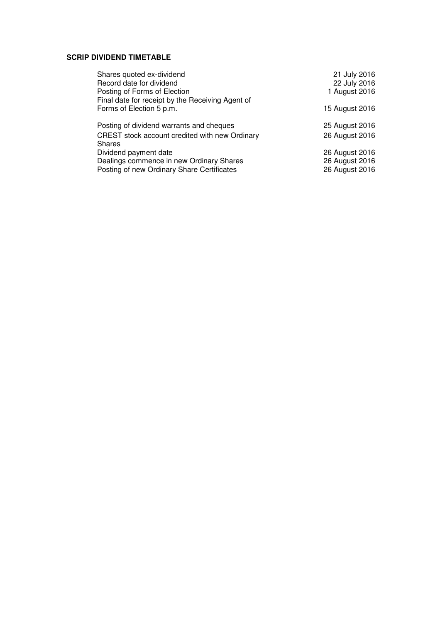# **SCRIP DIVIDEND TIMETABLE**

| Shares quoted ex-dividend                        | 21 July 2016   |
|--------------------------------------------------|----------------|
| Record date for dividend                         | 22 July 2016   |
| Posting of Forms of Election                     | 1 August 2016  |
| Final date for receipt by the Receiving Agent of |                |
| Forms of Election 5 p.m.                         | 15 August 2016 |
|                                                  |                |
| Posting of dividend warrants and cheques         | 25 August 2016 |
| CREST stock account credited with new Ordinary   | 26 August 2016 |
| <b>Shares</b>                                    |                |
| Dividend payment date                            | 26 August 2016 |
| Dealings commence in new Ordinary Shares         | 26 August 2016 |
| Posting of new Ordinary Share Certificates       | 26 August 2016 |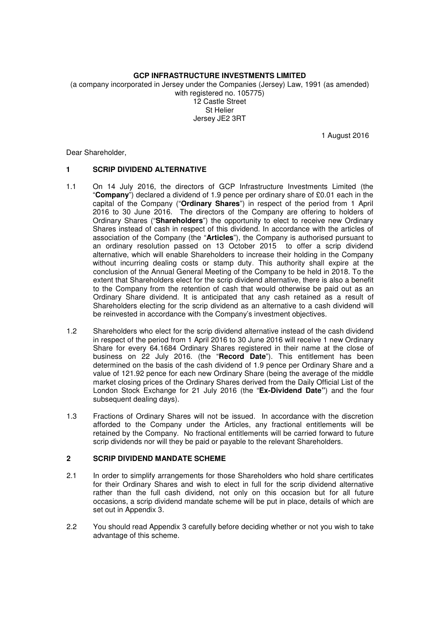# **GCP INFRASTRUCTURE INVESTMENTS LIMITED**

(a company incorporated in Jersey under the Companies (Jersey) Law, 1991 (as amended) with registered no. 105775) 12 Castle Street

St Helier Jersey JE2 3RT

1 August 2016

Dear Shareholder,

## **1 SCRIP DIVIDEND ALTERNATIVE**

- 1.1 On 14 July 2016, the directors of GCP Infrastructure Investments Limited (the "**Company**") declared a dividend of 1.9 pence per ordinary share of £0.01 each in the capital of the Company ("**Ordinary Shares**") in respect of the period from 1 April 2016 to 30 June 2016. The directors of the Company are offering to holders of Ordinary Shares ("**Shareholders**") the opportunity to elect to receive new Ordinary Shares instead of cash in respect of this dividend. In accordance with the articles of association of the Company (the "**Articles**"), the Company is authorised pursuant to an ordinary resolution passed on 13 October 2015 to offer a scrip dividend alternative, which will enable Shareholders to increase their holding in the Company without incurring dealing costs or stamp duty. This authority shall expire at the conclusion of the Annual General Meeting of the Company to be held in 2018. To the extent that Shareholders elect for the scrip dividend alternative, there is also a benefit to the Company from the retention of cash that would otherwise be paid out as an Ordinary Share dividend. It is anticipated that any cash retained as a result of Shareholders electing for the scrip dividend as an alternative to a cash dividend will be reinvested in accordance with the Company's investment objectives.
- 1.2 Shareholders who elect for the scrip dividend alternative instead of the cash dividend in respect of the period from 1 April 2016 to 30 June 2016 will receive 1 new Ordinary Share for every 64.1684 Ordinary Shares registered in their name at the close of business on 22 July 2016. (the "**Record Date**"). This entitlement has been determined on the basis of the cash dividend of 1.9 pence per Ordinary Share and a value of 121.92 pence for each new Ordinary Share (being the average of the middle market closing prices of the Ordinary Shares derived from the Daily Official List of the London Stock Exchange for 21 July 2016 (the "**Ex-Dividend Date"**) and the four subsequent dealing days).
- 1.3 Fractions of Ordinary Shares will not be issued. In accordance with the discretion afforded to the Company under the Articles, any fractional entitlements will be retained by the Company. No fractional entitlements will be carried forward to future scrip dividends nor will they be paid or payable to the relevant Shareholders.

## **2 SCRIP DIVIDEND MANDATE SCHEME**

- 2.1 In order to simplify arrangements for those Shareholders who hold share certificates for their Ordinary Shares and wish to elect in full for the scrip dividend alternative rather than the full cash dividend, not only on this occasion but for all future occasions, a scrip dividend mandate scheme will be put in place, details of which are set out in Appendix 3.
- 2.2 You should read Appendix 3 carefully before deciding whether or not you wish to take advantage of this scheme.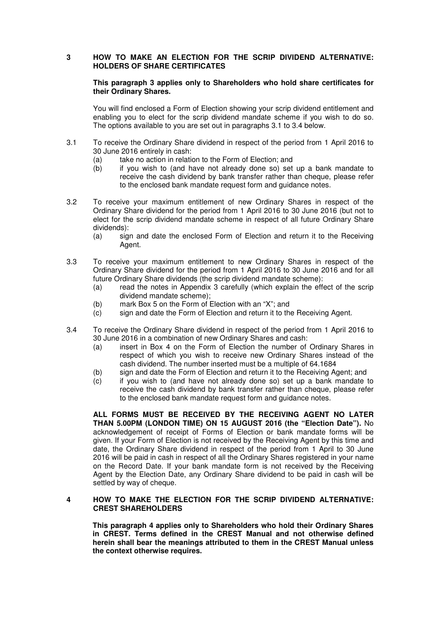## **3 HOW TO MAKE AN ELECTION FOR THE SCRIP DIVIDEND ALTERNATIVE: HOLDERS OF SHARE CERTIFICATES**

#### **This paragraph 3 applies only to Shareholders who hold share certificates for their Ordinary Shares.**

You will find enclosed a Form of Election showing your scrip dividend entitlement and enabling you to elect for the scrip dividend mandate scheme if you wish to do so. The options available to you are set out in paragraphs 3.1 to 3.4 below.

- 3.1 To receive the Ordinary Share dividend in respect of the period from 1 April 2016 to 30 June 2016 entirely in cash:
	- (a) take no action in relation to the Form of Election; and
	- (b) if you wish to (and have not already done so) set up a bank mandate to receive the cash dividend by bank transfer rather than cheque, please refer to the enclosed bank mandate request form and guidance notes.
- 3.2 To receive your maximum entitlement of new Ordinary Shares in respect of the Ordinary Share dividend for the period from 1 April 2016 to 30 June 2016 (but not to elect for the scrip dividend mandate scheme in respect of all future Ordinary Share dividends):
	- (a) sign and date the enclosed Form of Election and return it to the Receiving Agent.
- 3.3 To receive your maximum entitlement to new Ordinary Shares in respect of the Ordinary Share dividend for the period from 1 April 2016 to 30 June 2016 and for all future Ordinary Share dividends (the scrip dividend mandate scheme):
	- (a) read the notes in Appendix 3 carefully (which explain the effect of the scrip dividend mandate scheme);
	- (b) mark Box 5 on the Form of Election with an "X"; and
	- $\overrightarrow{c}$  sign and date the Form of Election and return it to the Receiving Agent.
- 3.4 To receive the Ordinary Share dividend in respect of the period from 1 April 2016 to 30 June 2016 in a combination of new Ordinary Shares and cash:
	- (a) insert in Box 4 on the Form of Election the number of Ordinary Shares in respect of which you wish to receive new Ordinary Shares instead of the cash dividend. The number inserted must be a multiple of 64.1684
	- (b) sign and date the Form of Election and return it to the Receiving Agent; and
	- (c) if you wish to (and have not already done so) set up a bank mandate to receive the cash dividend by bank transfer rather than cheque, please refer to the enclosed bank mandate request form and guidance notes.

**ALL FORMS MUST BE RECEIVED BY THE RECEIVING AGENT NO LATER THAN 5.00PM (LONDON TIME) ON 15 AUGUST 2016 (the "Election Date").** No acknowledgement of receipt of Forms of Election or bank mandate forms will be given. If your Form of Election is not received by the Receiving Agent by this time and date, the Ordinary Share dividend in respect of the period from 1 April to 30 June 2016 will be paid in cash in respect of all the Ordinary Shares registered in your name on the Record Date. If your bank mandate form is not received by the Receiving Agent by the Election Date, any Ordinary Share dividend to be paid in cash will be settled by way of cheque.

#### **4 HOW TO MAKE THE ELECTION FOR THE SCRIP DIVIDEND ALTERNATIVE: CREST SHAREHOLDERS**

**This paragraph 4 applies only to Shareholders who hold their Ordinary Shares in CREST. Terms defined in the CREST Manual and not otherwise defined herein shall bear the meanings attributed to them in the CREST Manual unless the context otherwise requires.**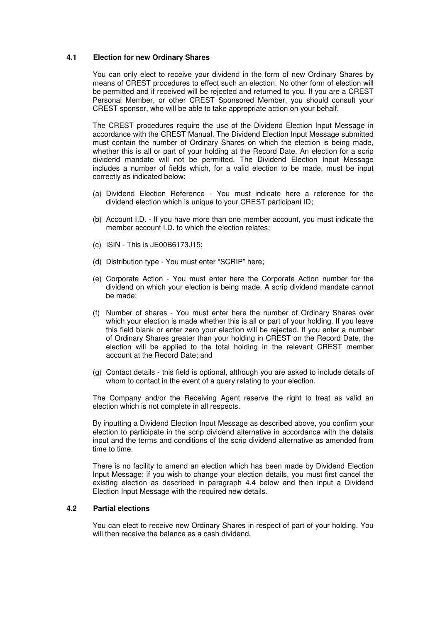## **4.1 Election for new Ordinary Shares**

You can only elect to receive your dividend in the form of new Ordinary Shares by means of CREST procedures to effect such an election. No other form of election will be permitted and if received will be rejected and returned to you. If you are a CREST Personal Member, or other CREST Sponsored Member, you should consult your CREST sponsor, who will be able to take appropriate action on your behalf.

The CREST procedures require the use of the Dividend Election Input Message in accordance with the CREST Manual. The Dividend Election Input Message submitted must contain the number of Ordinary Shares on which the election is being made, whether this is all or part of your holding at the Record Date. An election for a scrip dividend mandate will not be permitted. The Dividend Election Input Message includes a number of fields which, for a valid election to be made, must be input correctly as indicated below:

- (a) Dividend Election Reference You must indicate here a reference for the dividend election which is unique to your CREST participant ID;
- (b) Account I.D. If you have more than one member account, you must indicate the member account I.D. to which the election relates;
- (c) ISIN This is JE00B6173J15;
- (d) Distribution type You must enter "SCRIP" here;
- (e) Corporate Action You must enter here the Corporate Action number for the dividend on which your election is being made. A scrip dividend mandate cannot be made;
- (f) Number of shares You must enter here the number of Ordinary Shares over which your election is made whether this is all or part of your holding. If you leave this field blank or enter zero your election will be rejected. If you enter a number of Ordinary Shares greater than your holding in CREST on the Record Date, the election will be applied to the total holding in the relevant CREST member account at the Record Date; and
- (g) Contact details this field is optional, although you are asked to include details of whom to contact in the event of a query relating to your election.

The Company and/or the Receiving Agent reserve the right to treat as valid an election which is not complete in all respects.

By inputting a Dividend Election Input Message as described above, you confirm your election to participate in the scrip dividend alternative in accordance with the details input and the terms and conditions of the scrip dividend alternative as amended from time to time.

There is no facility to amend an election which has been made by Dividend Election Input Message; if you wish to change your election details, you must first cancel the existing election as described in paragraph 4.4 below and then input a Dividend Election Input Message with the required new details.

#### **4.2 Partial elections**

You can elect to receive new Ordinary Shares in respect of part of your holding. You will then receive the balance as a cash dividend.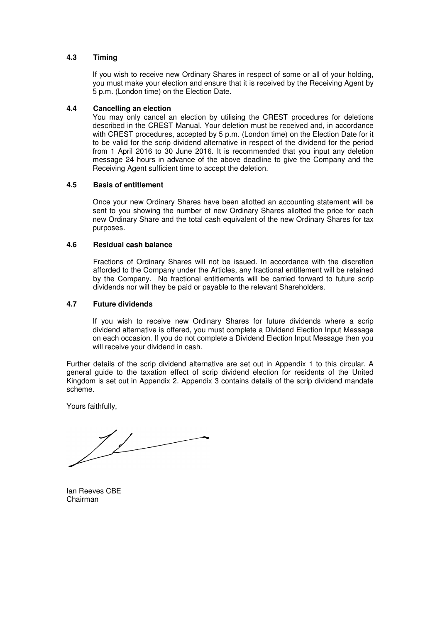## **4.3 Timing**

If you wish to receive new Ordinary Shares in respect of some or all of your holding, you must make your election and ensure that it is received by the Receiving Agent by 5 p.m. (London time) on the Election Date.

#### **4.4 Cancelling an election**

You may only cancel an election by utilising the CREST procedures for deletions described in the CREST Manual. Your deletion must be received and, in accordance with CREST procedures, accepted by 5 p.m. (London time) on the Election Date for it to be valid for the scrip dividend alternative in respect of the dividend for the period from 1 April 2016 to 30 June 2016. It is recommended that you input any deletion message 24 hours in advance of the above deadline to give the Company and the Receiving Agent sufficient time to accept the deletion.

#### **4.5 Basis of entitlement**

Once your new Ordinary Shares have been allotted an accounting statement will be sent to you showing the number of new Ordinary Shares allotted the price for each new Ordinary Share and the total cash equivalent of the new Ordinary Shares for tax purposes.

#### **4.6 Residual cash balance**

Fractions of Ordinary Shares will not be issued. In accordance with the discretion afforded to the Company under the Articles, any fractional entitlement will be retained by the Company. No fractional entitlements will be carried forward to future scrip dividends nor will they be paid or payable to the relevant Shareholders.

#### **4.7 Future dividends**

If you wish to receive new Ordinary Shares for future dividends where a scrip dividend alternative is offered, you must complete a Dividend Election Input Message on each occasion. If you do not complete a Dividend Election Input Message then you will receive your dividend in cash.

Further details of the scrip dividend alternative are set out in Appendix 1 to this circular. A general guide to the taxation effect of scrip dividend election for residents of the United Kingdom is set out in Appendix 2. Appendix 3 contains details of the scrip dividend mandate scheme.

Yours faithfully,

 $\frac{1}{\sqrt{2}}$ 

Ian Reeves CBE Chairman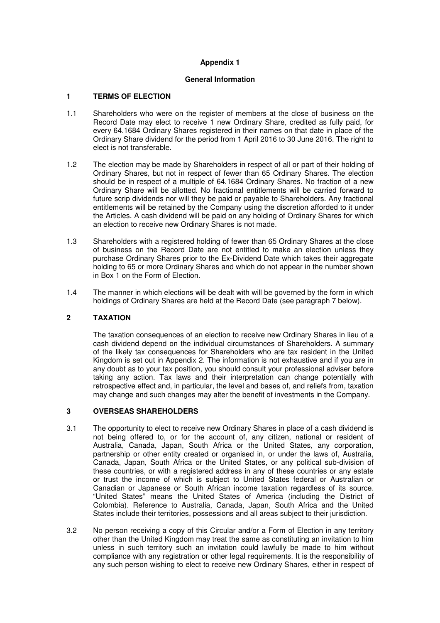## **Appendix 1**

#### **General Information**

### **1 TERMS OF ELECTION**

- 1.1 Shareholders who were on the register of members at the close of business on the Record Date may elect to receive 1 new Ordinary Share, credited as fully paid, for every 64.1684 Ordinary Shares registered in their names on that date in place of the Ordinary Share dividend for the period from 1 April 2016 to 30 June 2016. The right to elect is not transferable.
- 1.2 The election may be made by Shareholders in respect of all or part of their holding of Ordinary Shares, but not in respect of fewer than 65 Ordinary Shares. The election should be in respect of a multiple of 64.1684 Ordinary Shares. No fraction of a new Ordinary Share will be allotted. No fractional entitlements will be carried forward to future scrip dividends nor will they be paid or payable to Shareholders. Any fractional entitlements will be retained by the Company using the discretion afforded to it under the Articles. A cash dividend will be paid on any holding of Ordinary Shares for which an election to receive new Ordinary Shares is not made.
- 1.3 Shareholders with a registered holding of fewer than 65 Ordinary Shares at the close of business on the Record Date are not entitled to make an election unless they purchase Ordinary Shares prior to the Ex-Dividend Date which takes their aggregate holding to 65 or more Ordinary Shares and which do not appear in the number shown in Box 1 on the Form of Election.
- 1.4 The manner in which elections will be dealt with will be governed by the form in which holdings of Ordinary Shares are held at the Record Date (see paragraph 7 below).

#### **2 TAXATION**

The taxation consequences of an election to receive new Ordinary Shares in lieu of a cash dividend depend on the individual circumstances of Shareholders. A summary of the likely tax consequences for Shareholders who are tax resident in the United Kingdom is set out in Appendix 2. The information is not exhaustive and if you are in any doubt as to your tax position, you should consult your professional adviser before taking any action. Tax laws and their interpretation can change potentially with retrospective effect and, in particular, the level and bases of, and reliefs from, taxation may change and such changes may alter the benefit of investments in the Company.

#### **3 OVERSEAS SHAREHOLDERS**

- 3.1 The opportunity to elect to receive new Ordinary Shares in place of a cash dividend is not being offered to, or for the account of, any citizen, national or resident of Australia, Canada, Japan, South Africa or the United States, any corporation, partnership or other entity created or organised in, or under the laws of, Australia, Canada, Japan, South Africa or the United States, or any political sub-division of these countries, or with a registered address in any of these countries or any estate or trust the income of which is subject to United States federal or Australian or Canadian or Japanese or South African income taxation regardless of its source. "United States" means the United States of America (including the District of Colombia). Reference to Australia, Canada, Japan, South Africa and the United States include their territories, possessions and all areas subject to their jurisdiction.
- 3.2 No person receiving a copy of this Circular and/or a Form of Election in any territory other than the United Kingdom may treat the same as constituting an invitation to him unless in such territory such an invitation could lawfully be made to him without compliance with any registration or other legal requirements. It is the responsibility of any such person wishing to elect to receive new Ordinary Shares, either in respect of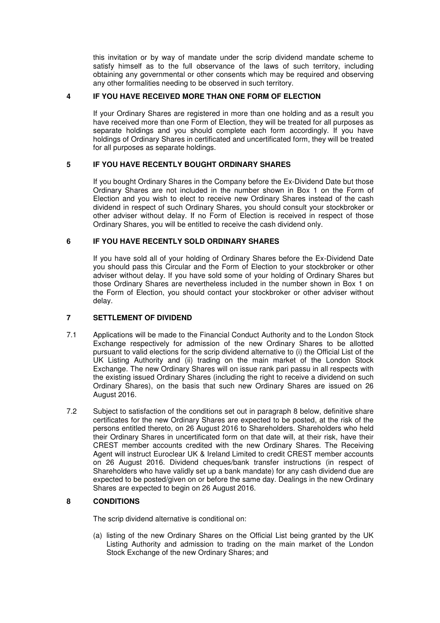this invitation or by way of mandate under the scrip dividend mandate scheme to satisfy himself as to the full observance of the laws of such territory, including obtaining any governmental or other consents which may be required and observing any other formalities needing to be observed in such territory.

# **4 IF YOU HAVE RECEIVED MORE THAN ONE FORM OF ELECTION**

If your Ordinary Shares are registered in more than one holding and as a result you have received more than one Form of Election, they will be treated for all purposes as separate holdings and you should complete each form accordingly. If you have holdings of Ordinary Shares in certificated and uncertificated form, they will be treated for all purposes as separate holdings.

# **5 IF YOU HAVE RECENTLY BOUGHT ORDINARY SHARES**

If you bought Ordinary Shares in the Company before the Ex-Dividend Date but those Ordinary Shares are not included in the number shown in Box 1 on the Form of Election and you wish to elect to receive new Ordinary Shares instead of the cash dividend in respect of such Ordinary Shares, you should consult your stockbroker or other adviser without delay. If no Form of Election is received in respect of those Ordinary Shares, you will be entitled to receive the cash dividend only.

## **6 IF YOU HAVE RECENTLY SOLD ORDINARY SHARES**

If you have sold all of your holding of Ordinary Shares before the Ex-Dividend Date you should pass this Circular and the Form of Election to your stockbroker or other adviser without delay. If you have sold some of your holding of Ordinary Shares but those Ordinary Shares are nevertheless included in the number shown in Box 1 on the Form of Election, you should contact your stockbroker or other adviser without delay.

## **7 SETTLEMENT OF DIVIDEND**

- 7.1 Applications will be made to the Financial Conduct Authority and to the London Stock Exchange respectively for admission of the new Ordinary Shares to be allotted pursuant to valid elections for the scrip dividend alternative to (i) the Official List of the UK Listing Authority and (ii) trading on the main market of the London Stock Exchange. The new Ordinary Shares will on issue rank pari passu in all respects with the existing issued Ordinary Shares (including the right to receive a dividend on such Ordinary Shares), on the basis that such new Ordinary Shares are issued on 26 August 2016.
- 7.2 Subject to satisfaction of the conditions set out in paragraph 8 below, definitive share certificates for the new Ordinary Shares are expected to be posted, at the risk of the persons entitled thereto, on 26 August 2016 to Shareholders. Shareholders who held their Ordinary Shares in uncertificated form on that date will, at their risk, have their CREST member accounts credited with the new Ordinary Shares. The Receiving Agent will instruct Euroclear UK & Ireland Limited to credit CREST member accounts on 26 August 2016. Dividend cheques/bank transfer instructions (in respect of Shareholders who have validly set up a bank mandate) for any cash dividend due are expected to be posted/given on or before the same day. Dealings in the new Ordinary Shares are expected to begin on 26 August 2016.

# **8 CONDITIONS**

The scrip dividend alternative is conditional on:

(a) listing of the new Ordinary Shares on the Official List being granted by the UK Listing Authority and admission to trading on the main market of the London Stock Exchange of the new Ordinary Shares; and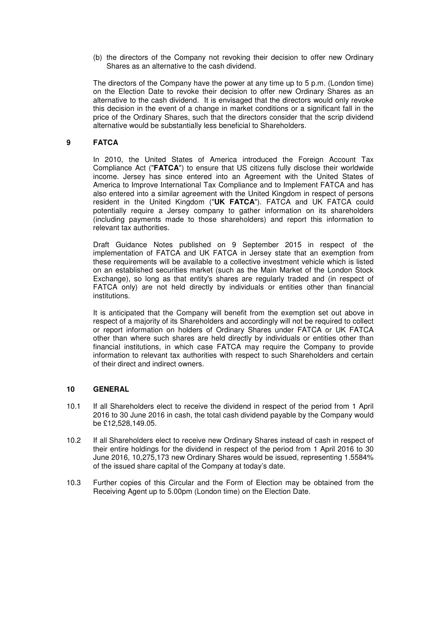(b) the directors of the Company not revoking their decision to offer new Ordinary Shares as an alternative to the cash dividend.

The directors of the Company have the power at any time up to 5 p.m. (London time) on the Election Date to revoke their decision to offer new Ordinary Shares as an alternative to the cash dividend. It is envisaged that the directors would only revoke this decision in the event of a change in market conditions or a significant fall in the price of the Ordinary Shares, such that the directors consider that the scrip dividend alternative would be substantially less beneficial to Shareholders.

#### **9 FATCA**

In 2010, the United States of America introduced the Foreign Account Tax Compliance Act ("**FATCA**") to ensure that US citizens fully disclose their worldwide income. Jersey has since entered into an Agreement with the United States of America to Improve International Tax Compliance and to Implement FATCA and has also entered into a similar agreement with the United Kingdom in respect of persons resident in the United Kingdom ("**UK FATCA**"). FATCA and UK FATCA could potentially require a Jersey company to gather information on its shareholders (including payments made to those shareholders) and report this information to relevant tax authorities.

Draft Guidance Notes published on 9 September 2015 in respect of the implementation of FATCA and UK FATCA in Jersey state that an exemption from these requirements will be available to a collective investment vehicle which is listed on an established securities market (such as the Main Market of the London Stock Exchange), so long as that entity's shares are regularly traded and (in respect of FATCA only) are not held directly by individuals or entities other than financial institutions.

It is anticipated that the Company will benefit from the exemption set out above in respect of a majority of its Shareholders and accordingly will not be required to collect or report information on holders of Ordinary Shares under FATCA or UK FATCA other than where such shares are held directly by individuals or entities other than financial institutions, in which case FATCA may require the Company to provide information to relevant tax authorities with respect to such Shareholders and certain of their direct and indirect owners.

## **10 GENERAL**

- 10.1 If all Shareholders elect to receive the dividend in respect of the period from 1 April 2016 to 30 June 2016 in cash, the total cash dividend payable by the Company would be £12,528,149.05.
- 10.2 If all Shareholders elect to receive new Ordinary Shares instead of cash in respect of their entire holdings for the dividend in respect of the period from 1 April 2016 to 30 June 2016, 10,275,173 new Ordinary Shares would be issued, representing 1.5584% of the issued share capital of the Company at today's date.
- 10.3 Further copies of this Circular and the Form of Election may be obtained from the Receiving Agent up to 5.00pm (London time) on the Election Date.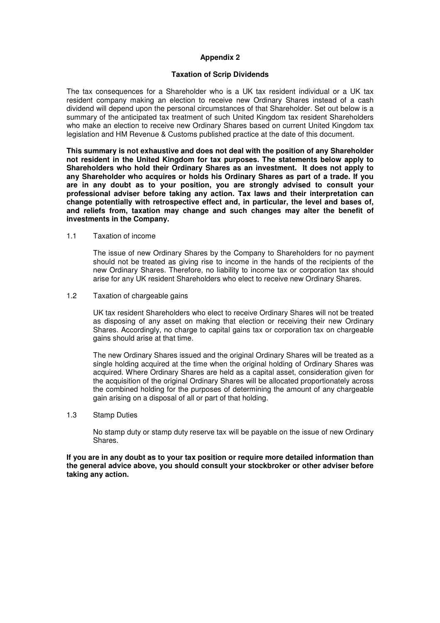### **Appendix 2**

#### **Taxation of Scrip Dividends**

The tax consequences for a Shareholder who is a UK tax resident individual or a UK tax resident company making an election to receive new Ordinary Shares instead of a cash dividend will depend upon the personal circumstances of that Shareholder. Set out below is a summary of the anticipated tax treatment of such United Kingdom tax resident Shareholders who make an election to receive new Ordinary Shares based on current United Kingdom tax legislation and HM Revenue & Customs published practice at the date of this document.

**This summary is not exhaustive and does not deal with the position of any Shareholder not resident in the United Kingdom for tax purposes. The statements below apply to Shareholders who hold their Ordinary Shares as an investment. It does not apply to any Shareholder who acquires or holds his Ordinary Shares as part of a trade. If you are in any doubt as to your position, you are strongly advised to consult your professional adviser before taking any action. Tax laws and their interpretation can change potentially with retrospective effect and, in particular, the level and bases of, and reliefs from, taxation may change and such changes may alter the benefit of investments in the Company.** 

1.1 Taxation of income

The issue of new Ordinary Shares by the Company to Shareholders for no payment should not be treated as giving rise to income in the hands of the recipients of the new Ordinary Shares. Therefore, no liability to income tax or corporation tax should arise for any UK resident Shareholders who elect to receive new Ordinary Shares.

1.2 Taxation of chargeable gains

UK tax resident Shareholders who elect to receive Ordinary Shares will not be treated as disposing of any asset on making that election or receiving their new Ordinary Shares. Accordingly, no charge to capital gains tax or corporation tax on chargeable gains should arise at that time.

The new Ordinary Shares issued and the original Ordinary Shares will be treated as a single holding acquired at the time when the original holding of Ordinary Shares was acquired. Where Ordinary Shares are held as a capital asset, consideration given for the acquisition of the original Ordinary Shares will be allocated proportionately across the combined holding for the purposes of determining the amount of any chargeable gain arising on a disposal of all or part of that holding.

1.3 Stamp Duties

No stamp duty or stamp duty reserve tax will be payable on the issue of new Ordinary Shares.

**If you are in any doubt as to your tax position or require more detailed information than the general advice above, you should consult your stockbroker or other adviser before taking any action.**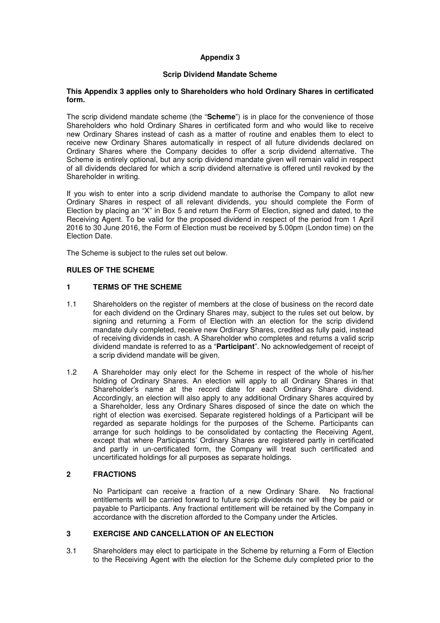# **Appendix 3**

## **Scrip Dividend Mandate Scheme**

#### **This Appendix 3 applies only to Shareholders who hold Ordinary Shares in certificated form.**

The scrip dividend mandate scheme (the "**Scheme**") is in place for the convenience of those Shareholders who hold Ordinary Shares in certificated form and who would like to receive new Ordinary Shares instead of cash as a matter of routine and enables them to elect to receive new Ordinary Shares automatically in respect of all future dividends declared on Ordinary Shares where the Company decides to offer a scrip dividend alternative. The Scheme is entirely optional, but any scrip dividend mandate given will remain valid in respect of all dividends declared for which a scrip dividend alternative is offered until revoked by the Shareholder in writing.

If you wish to enter into a scrip dividend mandate to authorise the Company to allot new Ordinary Shares in respect of all relevant dividends, you should complete the Form of Election by placing an "X" in Box 5 and return the Form of Election, signed and dated, to the Receiving Agent. To be valid for the proposed dividend in respect of the period from 1 April 2016 to 30 June 2016, the Form of Election must be received by 5.00pm (London time) on the Election Date.

The Scheme is subject to the rules set out below.

## **RULES OF THE SCHEME**

### **1 TERMS OF THE SCHEME**

- 1.1 Shareholders on the register of members at the close of business on the record date for each dividend on the Ordinary Shares may, subject to the rules set out below, by signing and returning a Form of Election with an election for the scrip dividend mandate duly completed, receive new Ordinary Shares, credited as fully paid, instead of receiving dividends in cash. A Shareholder who completes and returns a valid scrip dividend mandate is referred to as a "**Participant**". No acknowledgement of receipt of a scrip dividend mandate will be given.
- 1.2 A Shareholder may only elect for the Scheme in respect of the whole of his/her holding of Ordinary Shares. An election will apply to all Ordinary Shares in that Shareholder's name at the record date for each Ordinary Share dividend. Accordingly, an election will also apply to any additional Ordinary Shares acquired by a Shareholder, less any Ordinary Shares disposed of since the date on which the right of election was exercised. Separate registered holdings of a Participant will be regarded as separate holdings for the purposes of the Scheme. Participants can arrange for such holdings to be consolidated by contacting the Receiving Agent, except that where Participants' Ordinary Shares are registered partly in certificated and partly in un-certificated form, the Company will treat such certificated and uncertificated holdings for all purposes as separate holdings.

## **2 FRACTIONS**

No Participant can receive a fraction of a new Ordinary Share. No fractional entitlements will be carried forward to future scrip dividends nor will they be paid or payable to Participants. Any fractional entitlement will be retained by the Company in accordance with the discretion afforded to the Company under the Articles.

#### **3 EXERCISE AND CANCELLATION OF AN ELECTION**

3.1 Shareholders may elect to participate in the Scheme by returning a Form of Election to the Receiving Agent with the election for the Scheme duly completed prior to the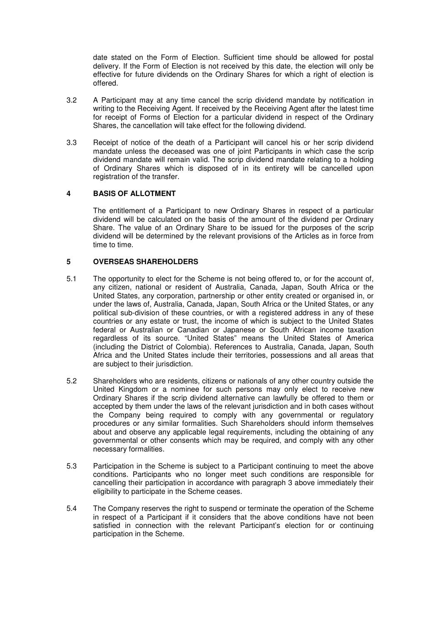date stated on the Form of Election. Sufficient time should be allowed for postal delivery. If the Form of Election is not received by this date, the election will only be effective for future dividends on the Ordinary Shares for which a right of election is offered.

- 3.2 A Participant may at any time cancel the scrip dividend mandate by notification in writing to the Receiving Agent. If received by the Receiving Agent after the latest time for receipt of Forms of Election for a particular dividend in respect of the Ordinary Shares, the cancellation will take effect for the following dividend.
- 3.3 Receipt of notice of the death of a Participant will cancel his or her scrip dividend mandate unless the deceased was one of joint Participants in which case the scrip dividend mandate will remain valid. The scrip dividend mandate relating to a holding of Ordinary Shares which is disposed of in its entirety will be cancelled upon registration of the transfer.

## **4 BASIS OF ALLOTMENT**

The entitlement of a Participant to new Ordinary Shares in respect of a particular dividend will be calculated on the basis of the amount of the dividend per Ordinary Share. The value of an Ordinary Share to be issued for the purposes of the scrip dividend will be determined by the relevant provisions of the Articles as in force from time to time.

#### **5 OVERSEAS SHAREHOLDERS**

- 5.1 The opportunity to elect for the Scheme is not being offered to, or for the account of, any citizen, national or resident of Australia, Canada, Japan, South Africa or the United States, any corporation, partnership or other entity created or organised in, or under the laws of, Australia, Canada, Japan, South Africa or the United States, or any political sub-division of these countries, or with a registered address in any of these countries or any estate or trust, the income of which is subject to the United States federal or Australian or Canadian or Japanese or South African income taxation regardless of its source. "United States" means the United States of America (including the District of Colombia). References to Australia, Canada, Japan, South Africa and the United States include their territories, possessions and all areas that are subject to their jurisdiction.
- 5.2 Shareholders who are residents, citizens or nationals of any other country outside the United Kingdom or a nominee for such persons may only elect to receive new Ordinary Shares if the scrip dividend alternative can lawfully be offered to them or accepted by them under the laws of the relevant jurisdiction and in both cases without the Company being required to comply with any governmental or regulatory procedures or any similar formalities. Such Shareholders should inform themselves about and observe any applicable legal requirements, including the obtaining of any governmental or other consents which may be required, and comply with any other necessary formalities.
- 5.3 Participation in the Scheme is subject to a Participant continuing to meet the above conditions. Participants who no longer meet such conditions are responsible for cancelling their participation in accordance with paragraph 3 above immediately their eligibility to participate in the Scheme ceases.
- 5.4 The Company reserves the right to suspend or terminate the operation of the Scheme in respect of a Participant if it considers that the above conditions have not been satisfied in connection with the relevant Participant's election for or continuing participation in the Scheme.